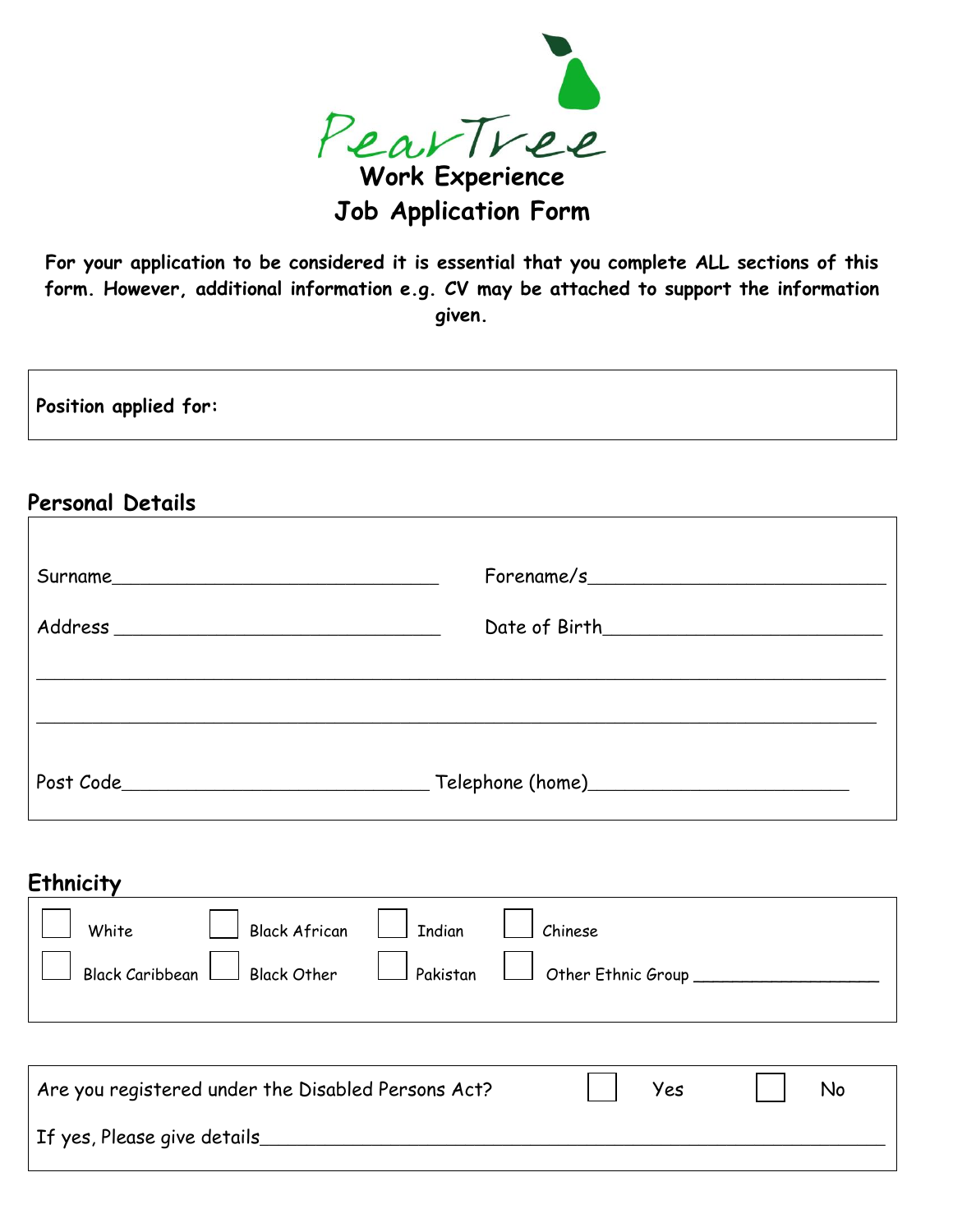

**Job Application Form**

**For your application to be considered it is essential that you complete ALL sections of this form. However, additional information e.g. CV may be attached to support the information given.**

| Position applied for: |
|-----------------------|
|-----------------------|

#### **Personal Details**

 $\overline{\phantom{a}}$ 

| For example/s                                          |
|--------------------------------------------------------|
|                                                        |
|                                                        |
|                                                        |
| _ Telephone (home <u>)_______________________</u> ____ |

| Ethnicity |                                  |                                                                         |
|-----------|----------------------------------|-------------------------------------------------------------------------|
| White     | Black African   Tndian   Chinese | Black Caribbean   Black Other   Pakistan   Other Ethnic Group _________ |

| Are you registered under the Disabled Persons Act? | Yes | No |
|----------------------------------------------------|-----|----|
| If yes, Please give details_                       |     |    |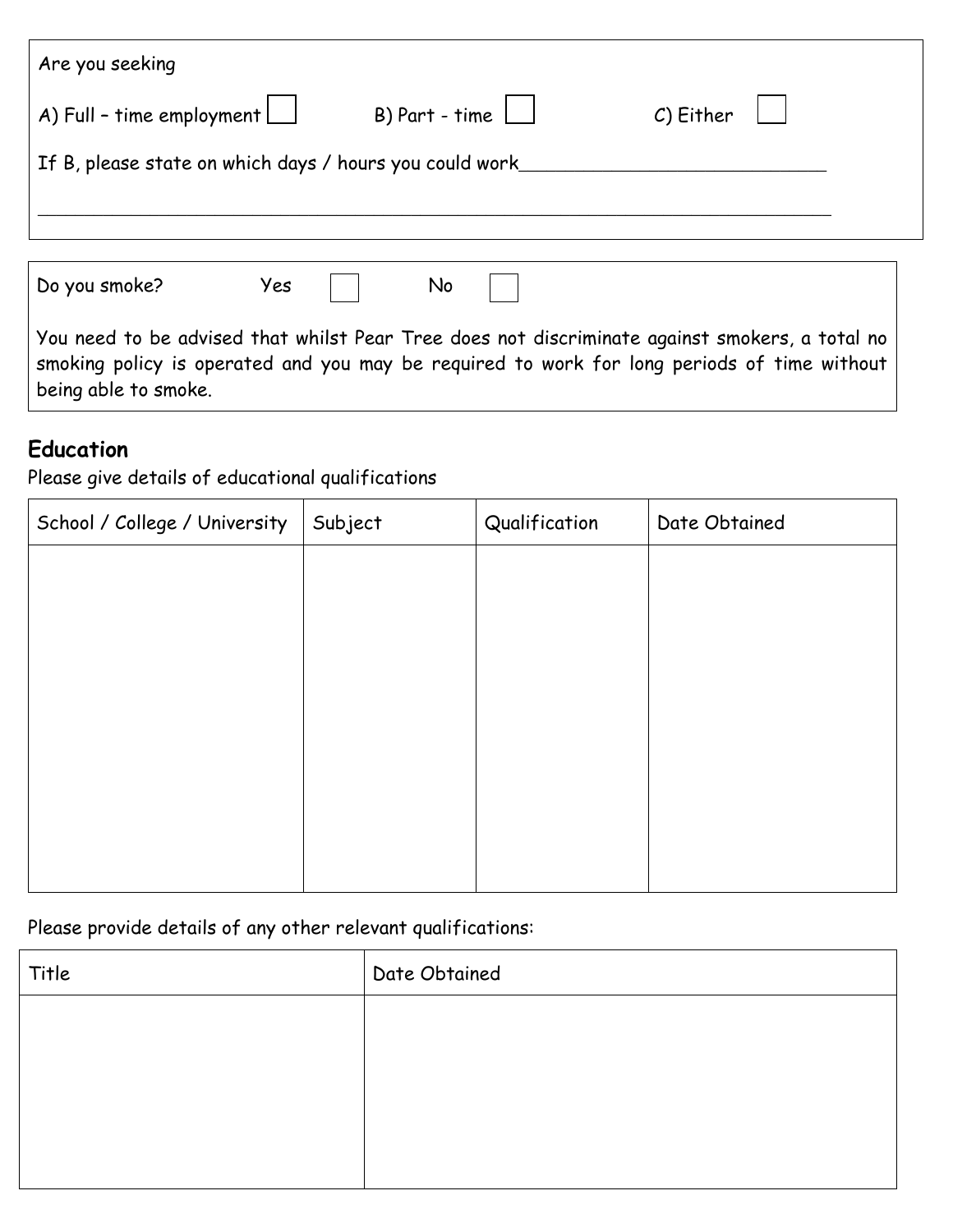| Are you seeking                                          |                                      |           |  |
|----------------------------------------------------------|--------------------------------------|-----------|--|
| $\Box$ A) Full - time employment                         | B) Part - time $\boxed{\phantom{1}}$ | C) Either |  |
| If B, please state on which days / hours you could work_ |                                      |           |  |
|                                                          |                                      |           |  |
|                                                          |                                      |           |  |

| You need to be advised that whilst Pear Tree does not discriminate against smokers, a total no |  |  |  |  |
|------------------------------------------------------------------------------------------------|--|--|--|--|
| smoking policy is operated and you may be required to work for long periods of time without    |  |  |  |  |
| being able to smoke.                                                                           |  |  |  |  |

## **Education**

Please give details of educational qualifications

| School / College / University | Subject | Qualification | Date Obtained |
|-------------------------------|---------|---------------|---------------|
|                               |         |               |               |
|                               |         |               |               |
|                               |         |               |               |
|                               |         |               |               |
|                               |         |               |               |
|                               |         |               |               |
|                               |         |               |               |
|                               |         |               |               |

Please provide details of any other relevant qualifications:

| Title | Date Obtained |
|-------|---------------|
|       |               |
|       |               |
|       |               |
|       |               |
|       |               |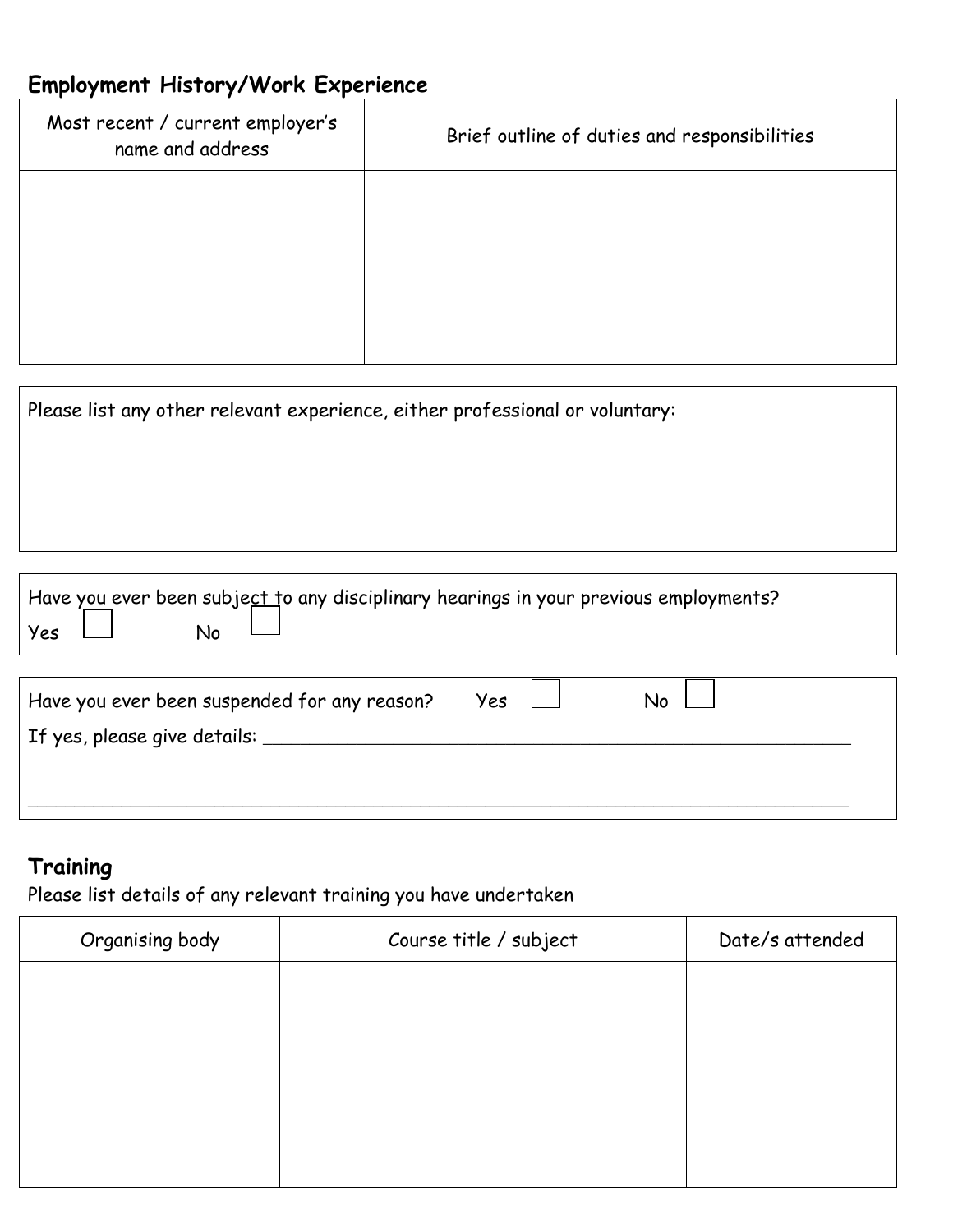| Most recent / current employer's<br>name and address                         | Brief outline of duties and responsibilities                                          |
|------------------------------------------------------------------------------|---------------------------------------------------------------------------------------|
|                                                                              |                                                                                       |
|                                                                              |                                                                                       |
|                                                                              |                                                                                       |
|                                                                              |                                                                                       |
| Please list any other relevant experience, either professional or voluntary: |                                                                                       |
|                                                                              |                                                                                       |
|                                                                              |                                                                                       |
|                                                                              |                                                                                       |
|                                                                              |                                                                                       |
| No<br>Yes                                                                    | Have you ever been subject to any disciplinary hearings in your previous employments? |
|                                                                              |                                                                                       |
| Have you ever been suspended for any reason?                                 | No<br>Yes                                                                             |
| If yes, please give details:                                                 |                                                                                       |
|                                                                              |                                                                                       |
|                                                                              |                                                                                       |

# **Training**

Please list details of any relevant training you have undertaken

| Organising body | Course title / subject | Date/s attended |
|-----------------|------------------------|-----------------|
|                 |                        |                 |
|                 |                        |                 |
|                 |                        |                 |
|                 |                        |                 |
|                 |                        |                 |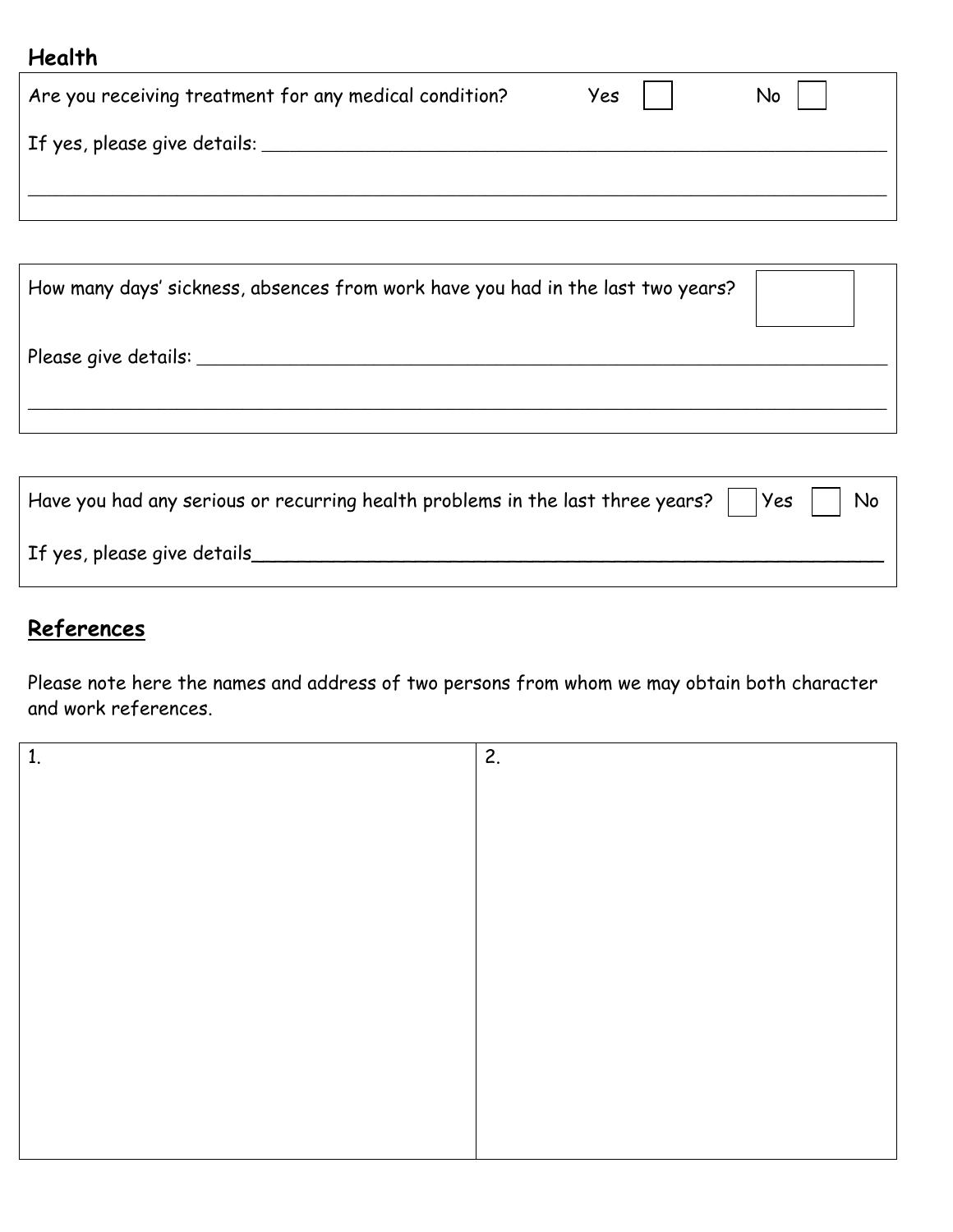# **Health**

| If yes, please give details: |  |
|------------------------------|--|
|                              |  |

| How many days' sickness, absences from work have you had in the last two years? |  |
|---------------------------------------------------------------------------------|--|
| $'$ Please give details: $\_\_$                                                 |  |
|                                                                                 |  |

| Have you had any serious or recurring health problems in the last three years? $\vert$ $\vert$ Yes $\vert$ $\vert$ No |  |
|-----------------------------------------------------------------------------------------------------------------------|--|
| If yes, please give details                                                                                           |  |

# **References**

Please note here the names and address of two persons from whom we may obtain both character and work references.

| 1. | 2. |
|----|----|
|    |    |
|    |    |
|    |    |
|    |    |
|    |    |
|    |    |
|    |    |
|    |    |
|    |    |
|    |    |
|    |    |
|    |    |